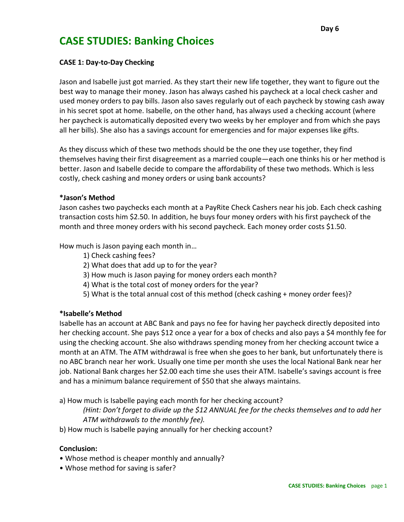# **CASE STUDIES: Banking Choices**

### **CASE 1: Day-to-Day Checking**

Jason and Isabelle just got married. As they start their new life together, they want to figure out the best way to manage their money. Jason has always cashed his paycheck at a local check casher and used money orders to pay bills. Jason also saves regularly out of each paycheck by stowing cash away in his secret spot at home. Isabelle, on the other hand, has always used a checking account (where her paycheck is automatically deposited every two weeks by her employer and from which she pays all her bills). She also has a savings account for emergencies and for major expenses like gifts.

As they discuss which of these two methods should be the one they use together, they find themselves having their first disagreement as a married couple—each one thinks his or her method is better. Jason and Isabelle decide to compare the affordability of these two methods. Which is less costly, check cashing and money orders or using bank accounts?

#### **\*Jason's Method**

Jason cashes two paychecks each month at a PayRite Check Cashers near his job. Each check cashing transaction costs him \$2.50. In addition, he buys four money orders with his first paycheck of the month and three money orders with his second paycheck. Each money order costs \$1.50.

How much is Jason paying each month in…

- 1) Check cashing fees?
- 2) What does that add up to for the year?
- 3) How much is Jason paying for money orders each month?
- 4) What is the total cost of money orders for the year?
- 5) What is the total annual cost of this method (check cashing + money order fees)?

#### **\*Isabelle's Method**

Isabelle has an account at ABC Bank and pays no fee for having her paycheck directly deposited into her checking account. She pays \$12 once a year for a box of checks and also pays a \$4 monthly fee for using the checking account. She also withdraws spending money from her checking account twice a month at an ATM. The ATM withdrawal is free when she goes to her bank, but unfortunately there is no ABC branch near her work. Usually one time per month she uses the local National Bank near her job. National Bank charges her \$2.00 each time she uses their ATM. Isabelle's savings account is free and has a minimum balance requirement of \$50 that she always maintains.

a) How much is Isabelle paying each month for her checking account?

*(Hint: Don't forget to divide up the \$12 ANNUAL fee for the checks themselves and to add her ATM withdrawals to the monthly fee).*

b) How much is Isabelle paying annually for her checking account?

#### **Conclusion:**

- Whose method is cheaper monthly and annually?
- Whose method for saving is safer?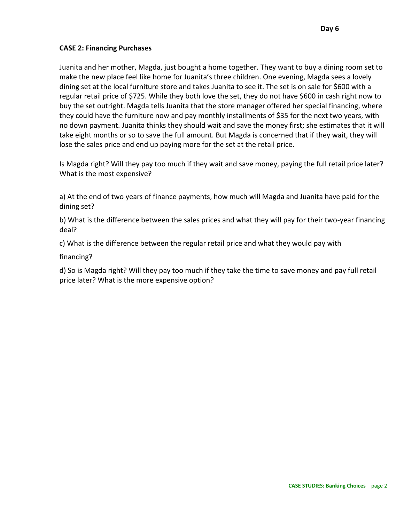# **CASE 2: Financing Purchases**

Juanita and her mother, Magda, just bought a home together. They want to buy a dining room set to make the new place feel like home for Juanita's three children. One evening, Magda sees a lovely dining set at the local furniture store and takes Juanita to see it. The set is on sale for \$600 with a regular retail price of \$725. While they both love the set, they do not have \$600 in cash right now to buy the set outright. Magda tells Juanita that the store manager offered her special financing, where they could have the furniture now and pay monthly installments of \$35 for the next two years, with no down payment. Juanita thinks they should wait and save the money first; she estimates that it will take eight months or so to save the full amount. But Magda is concerned that if they wait, they will lose the sales price and end up paying more for the set at the retail price.

Is Magda right? Will they pay too much if they wait and save money, paying the full retail price later? What is the most expensive?

a) At the end of two years of finance payments, how much will Magda and Juanita have paid for the dining set?

b) What is the difference between the sales prices and what they will pay for their two-year financing deal?

c) What is the difference between the regular retail price and what they would pay with

financing?

d) So is Magda right? Will they pay too much if they take the time to save money and pay full retail price later? What is the more expensive option?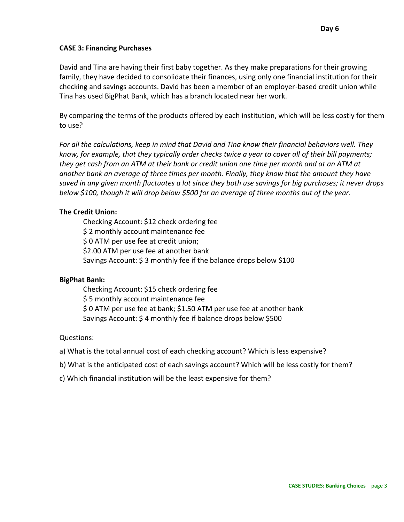# **CASE 3: Financing Purchases**

David and Tina are having their first baby together. As they make preparations for their growing family, they have decided to consolidate their finances, using only one financial institution for their checking and savings accounts. David has been a member of an employer-based credit union while Tina has used BigPhat Bank, which has a branch located near her work.

By comparing the terms of the products offered by each institution, which will be less costly for them to use?

*For all the calculations, keep in mind that David and Tina know their financial behaviors well. They know, for example, that they typically order checks twice a year to cover all of their bill payments; they get cash from an ATM at their bank or credit union one time per month and at an ATM at another bank an average of three times per month. Finally, they know that the amount they have saved in any given month fluctuates a lot since they both use savings for big purchases; it never drops below \$100, though it will drop below \$500 for an average of three months out of the year.*

# **The Credit Union:**

Checking Account: \$12 check ordering fee \$2 monthly account maintenance fee \$ 0 ATM per use fee at credit union; \$2.00 ATM per use fee at another bank Savings Account: \$ 3 monthly fee if the balance drops below \$100

# **BigPhat Bank:**

Checking Account: \$15 check ordering fee \$ 5 monthly account maintenance fee \$ 0 ATM per use fee at bank; \$1.50 ATM per use fee at another bank Savings Account: \$ 4 monthly fee if balance drops below \$500

# Questions:

- a) What is the total annual cost of each checking account? Which is less expensive?
- b) What is the anticipated cost of each savings account? Which will be less costly for them?
- c) Which financial institution will be the least expensive for them?